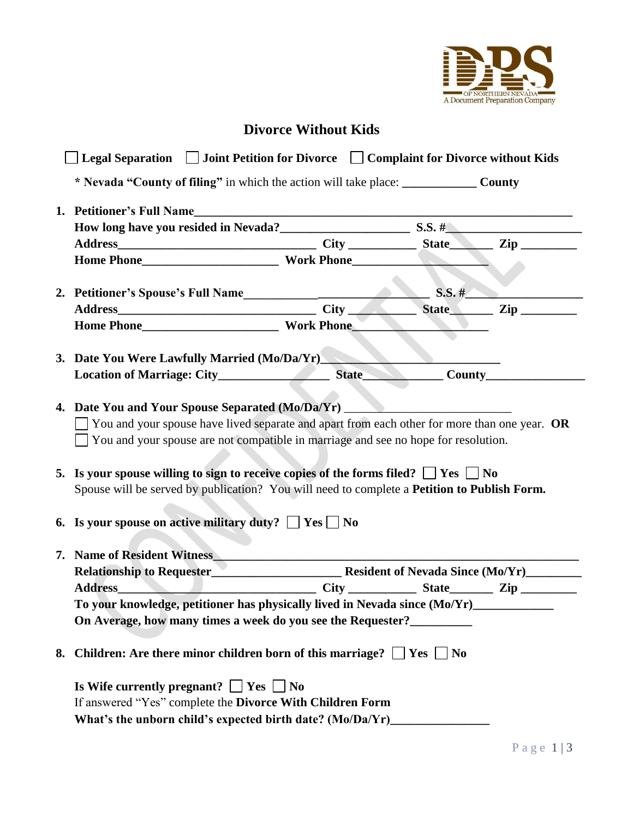

## **Divorce Without Kids**

| Legal Separation Joint Petition for Divorce Complaint for Divorce without Kids                                                                                                                                                                                                                                                                                                                                                                                     |  |              |           |  |
|--------------------------------------------------------------------------------------------------------------------------------------------------------------------------------------------------------------------------------------------------------------------------------------------------------------------------------------------------------------------------------------------------------------------------------------------------------------------|--|--------------|-----------|--|
| * Nevada "County of filing" in which the action will take place: ________________ County                                                                                                                                                                                                                                                                                                                                                                           |  |              |           |  |
| 1. Petitioner's Full Name                                                                                                                                                                                                                                                                                                                                                                                                                                          |  |              |           |  |
|                                                                                                                                                                                                                                                                                                                                                                                                                                                                    |  |              |           |  |
|                                                                                                                                                                                                                                                                                                                                                                                                                                                                    |  |              |           |  |
|                                                                                                                                                                                                                                                                                                                                                                                                                                                                    |  |              |           |  |
| 2. Petitioner's Spouse's Full Name<br><u>Land Communications</u>                                                                                                                                                                                                                                                                                                                                                                                                   |  |              | $S.S.$ #  |  |
|                                                                                                                                                                                                                                                                                                                                                                                                                                                                    |  |              | State Zip |  |
|                                                                                                                                                                                                                                                                                                                                                                                                                                                                    |  |              |           |  |
|                                                                                                                                                                                                                                                                                                                                                                                                                                                                    |  |              |           |  |
| 3. Date You Were Lawfully Married (Mo/Da/Yr)                                                                                                                                                                                                                                                                                                                                                                                                                       |  |              |           |  |
|                                                                                                                                                                                                                                                                                                                                                                                                                                                                    |  | State County |           |  |
|                                                                                                                                                                                                                                                                                                                                                                                                                                                                    |  |              |           |  |
| $\Box$ You and your spouse have lived separate and apart from each other for more than one year. OR<br>$\Box$ You and your spouse are not compatible in marriage and see no hope for resolution.<br>5. Is your spouse willing to sign to receive copies of the forms filed? $\Box$ Yes $\Box$ No<br>Spouse will be served by publication? You will need to complete a Petition to Publish Form.<br>6. Is your spouse on active military duty? $\Box$ Yes $\Box$ No |  |              |           |  |
|                                                                                                                                                                                                                                                                                                                                                                                                                                                                    |  |              |           |  |
| 7. Name of Resident Witness                                                                                                                                                                                                                                                                                                                                                                                                                                        |  |              |           |  |
|                                                                                                                                                                                                                                                                                                                                                                                                                                                                    |  |              |           |  |
| Address City City State Zip                                                                                                                                                                                                                                                                                                                                                                                                                                        |  |              |           |  |
| To your knowledge, petitioner has physically lived in Nevada since (Mo/Yr)                                                                                                                                                                                                                                                                                                                                                                                         |  |              |           |  |
| On Average, how many times a week do you see the Requester?                                                                                                                                                                                                                                                                                                                                                                                                        |  |              |           |  |
| 8. Children: Are there minor children born of this marriage? $\Box$ Yes $\Box$ No                                                                                                                                                                                                                                                                                                                                                                                  |  |              |           |  |
| Is Wife currently pregnant? $\Box$ Yes $\Box$ No                                                                                                                                                                                                                                                                                                                                                                                                                   |  |              |           |  |
| If answered "Yes" complete the Divorce With Children Form                                                                                                                                                                                                                                                                                                                                                                                                          |  |              |           |  |
| What's the unborn child's expected birth date? (Mo/Da/Yr)________________________                                                                                                                                                                                                                                                                                                                                                                                  |  |              |           |  |
|                                                                                                                                                                                                                                                                                                                                                                                                                                                                    |  |              |           |  |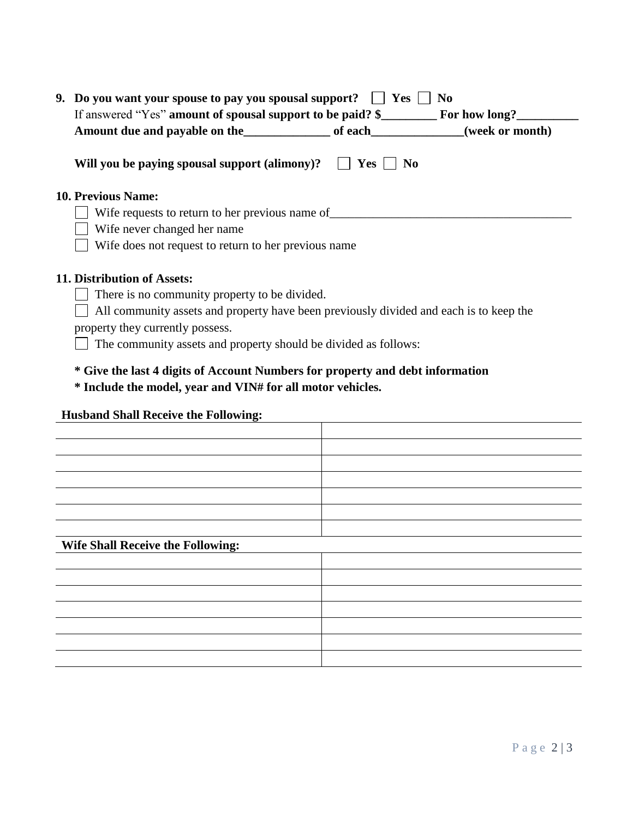| 9. Do you want your spouse to pay you spousal support?<br><b>Yes</b><br>No<br>If answered "Yes" amount of spousal support to be paid? \$<br>For how long? |  |  |  |  |
|-----------------------------------------------------------------------------------------------------------------------------------------------------------|--|--|--|--|
| (week or month)                                                                                                                                           |  |  |  |  |
| Will you be paying spousal support (alimony)?<br><b>Yes</b><br>N <sub>0</sub>                                                                             |  |  |  |  |
| <b>10. Previous Name:</b>                                                                                                                                 |  |  |  |  |
| Wife requests to return to her previous name of                                                                                                           |  |  |  |  |
| Wife never changed her name                                                                                                                               |  |  |  |  |
| Wife does not request to return to her previous name                                                                                                      |  |  |  |  |
| 11. Distribution of Assets:                                                                                                                               |  |  |  |  |
| There is no community property to be divided.                                                                                                             |  |  |  |  |
| All community assets and property have been previously divided and each is to keep the                                                                    |  |  |  |  |
| property they currently possess.                                                                                                                          |  |  |  |  |
| The community assets and property should be divided as follows:                                                                                           |  |  |  |  |
| * Give the last 4 digits of Account Numbers for property and debt information                                                                             |  |  |  |  |

## **\* Include the model, year and VIN# for all motor vehicles.**

## **Husband Shall Receive the Following:**

| <b>Wife Shall Receive the Following:</b> |  |  |  |  |
|------------------------------------------|--|--|--|--|
|                                          |  |  |  |  |
|                                          |  |  |  |  |
|                                          |  |  |  |  |
|                                          |  |  |  |  |
|                                          |  |  |  |  |
|                                          |  |  |  |  |
|                                          |  |  |  |  |
|                                          |  |  |  |  |